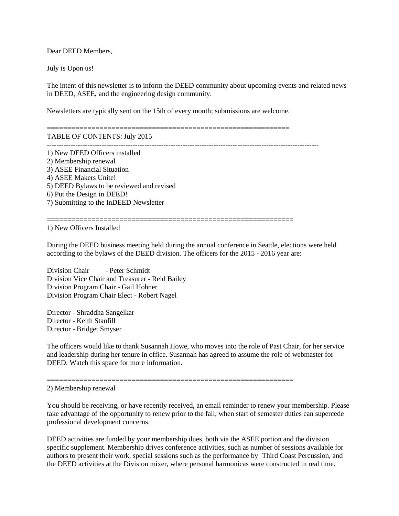Dear DEED Members,

July is Upon us!

The intent of this newsletter is to inform the DEED community about upcoming events and related news in DEED, ASEE, and the engineering design community.

============================================================

Newsletters are typically sent on the 15th of every month; submissions are welcome.

TABLE OF CONTENTS: July 2015

------------------------------------------------------------------------------------------------------------------

1) New DEED Officers installed 2) Membership renewal 3) ASEE Financial Situation 4) ASEE Makers Unite! 5) DEED Bylaws to be reviewed and revised 6) Put the Design in DEED! 7) Submitting to the InDEED Newsletter

============================================================= 1) New Officers Installed

During the DEED business meeting held during the annual conference in Seattle, elections were held according to the bylaws of the DEED division. The officers for the 2015 - 2016 year are:

Division Chair - Peter Schmidt Division Vice Chair and Treasurer - Reid Bailey Division Program Chair - Gail Hohner Division Program Chair Elect - Robert Nagel

Director - Shraddha Sangelkar Director - Keith Stanfill Director - Bridget Smyser

The officers would like to thank Susannah Howe, who moves into the role of Past Chair, for her service and leadership during her tenure in office. Susannah has agreed to assume the role of webmaster for DEED. Watch this space for more information.

=============================================================

2) Membership renewal

You should be receiving, or have recently received, an email reminder to renew your membership. Please take advantage of the opportunity to renew prior to the fall, when start of semester duties can supercede professional development concerns.

DEED activities are funded by your membership dues, both via the ASEE portion and the division specific supplement. Membership drives conference activities, such as number of sessions available for authors to present their work, special sessions such as the performance by Third Coast Percussion, and the DEED activities at the Division mixer, where personal harmonicas were constructed in real time.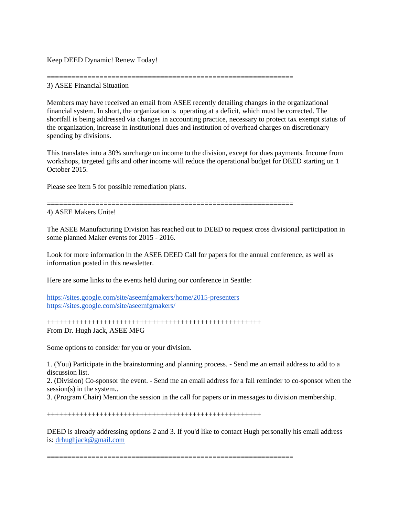Keep DEED Dynamic! Renew Today!

## ============================================================= 3) ASEE Financial Situation

Members may have received an email from ASEE recently detailing changes in the organizational financial system. In short, the organization is operating at a deficit, which must be corrected. The shortfall is being addressed via changes in accounting practice, necessary to protect tax exempt status of the organization, increase in institutional dues and institution of overhead charges on discretionary spending by divisions.

This translates into a 30% surcharge on income to the division, except for dues payments. Income from workshops, targeted gifts and other income will reduce the operational budget for DEED starting on 1 October 2015.

Please see item 5 for possible remediation plans.

=============================================================

4) ASEE Makers Unite!

The ASEE Manufacturing Division has reached out to DEED to request cross divisional participation in some planned Maker events for 2015 - 2016.

Look for more information in the ASEE DEED Call for papers for the annual conference, as well as information posted in this newsletter.

Here are some links to the events held during our conference in Seattle:

<https://sites.google.com/site/aseemfgmakers/home/2015-presenters> <https://sites.google.com/site/aseemfgmakers/>

+++++++++++++++++++++++++++++++++++++++++++++++++++++ From Dr. Hugh Jack, ASEE MFG

Some options to consider for you or your division.

1. (You) Participate in the brainstorming and planning process. - Send me an email address to add to a discussion list.

2. (Division) Co-sponsor the event. - Send me an email address for a fall reminder to co-sponsor when the session(s) in the system..

3. (Program Chair) Mention the session in the call for papers or in messages to division membership.

+++++++++++++++++++++++++++++++++++++++++++++++++++++

DEED is already addressing options 2 and 3. If you'd like to contact Hugh personally his email address is: [drhughjack@gmail.com](mailto:drhughjack@gmail.com)

=============================================================